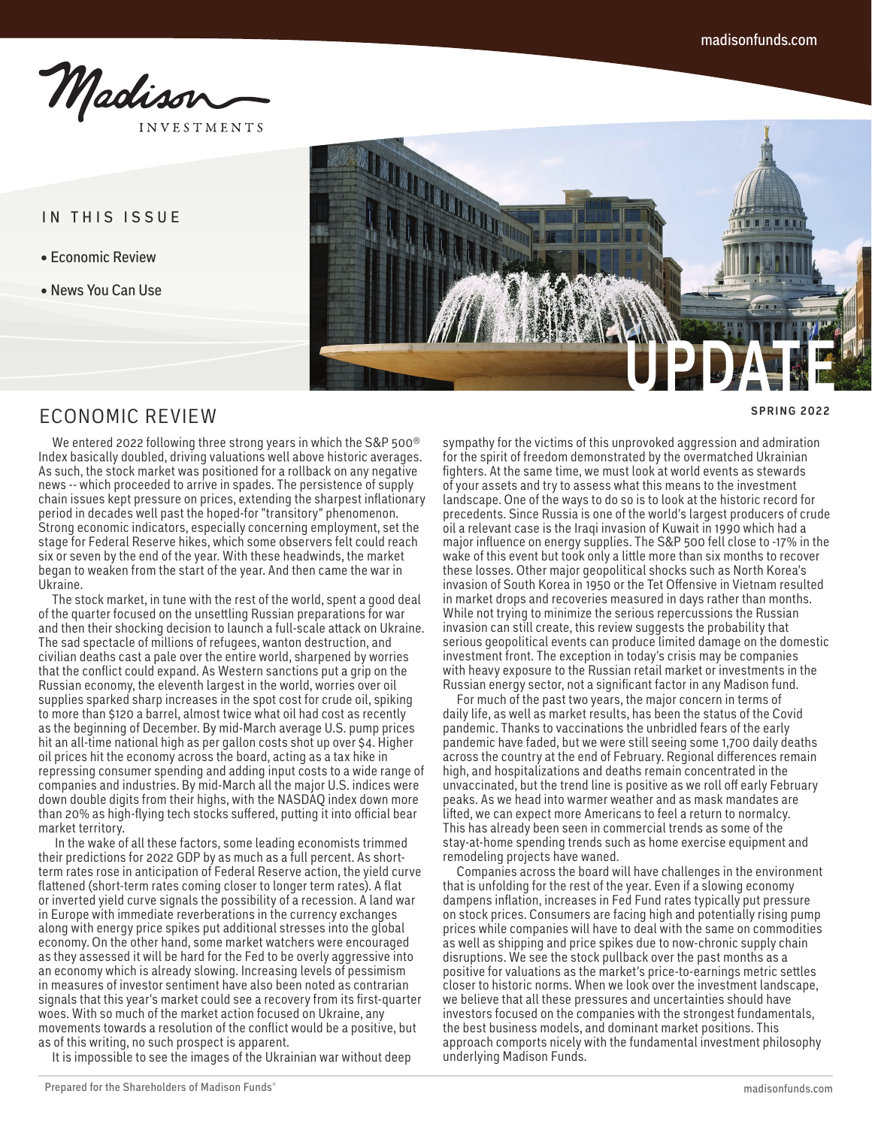Madison **INVESTMENTS** 

IN THIS ISSUE

- Economic Review
- News You Can Use



## ECONOMIC REVIEW

 We entered 2022 following three strong years in which the S&P 500® Index basically doubled, driving valuations well above historic averages. As such, the stock market was positioned for a rollback on any negative news -- which proceeded to arrive in spades. The persistence of supply chain issues kept pressure on prices, extending the sharpest inflationary period in decades well past the hoped-for "transitory" phenomenon. Strong economic indicators, especially concerning employment, set the stage for Federal Reserve hikes, which some observers felt could reach six or seven by the end of the year. With these headwinds, the market began to weaken from the start of the year. And then came the war in Ukraine.

 The stock market, in tune with the rest of the world, spent a good deal of the quarter focused on the unsettling Russian preparations for war and then their shocking decision to launch a full-scale attack on Ukraine. The sad spectacle of millions of refugees, wanton destruction, and civilian deaths cast a pale over the entire world, sharpened by worries that the conflict could expand. As Western sanctions put a grip on the Russian economy, the eleventh largest in the world, worries over oil supplies sparked sharp increases in the spot cost for crude oil, spiking to more than \$120 a barrel, almost twice what oil had cost as recently as the beginning of December. By mid-March average U.S. pump prices hit an all-time national high as per gallon costs shot up over \$4. Higher oil prices hit the economy across the board, acting as a tax hike in repressing consumer spending and adding input costs to a wide range of companies and industries. By mid-March all the major U.S. indices were down double digits from their highs, with the NASDAQ index down more than 20% as high-flying tech stocks suffered, putting it into official bear market territory.

 In the wake of all these factors, some leading economists trimmed their predictions for 2022 GDP by as much as a full percent. As shortterm rates rose in anticipation of Federal Reserve action, the yield curve flattened (short-term rates coming closer to longer term rates). A flat or inverted yield curve signals the possibility of a recession. A land war in Europe with immediate reverberations in the currency exchanges along with energy price spikes put additional stresses into the global economy. On the other hand, some market watchers were encouraged as they assessed it will be hard for the Fed to be overly aggressive into an economy which is already slowing. Increasing levels of pessimism in measures of investor sentiment have also been noted as contrarian signals that this year's market could see a recovery from its first-quarter woes. With so much of the market action focused on Ukraine, any movements towards a resolution of the conflict would be a positive, but as of this writing, no such prospect is apparent.

It is impossible to see the images of the Ukrainian war without deep

sympathy for the victims of this unprovoked aggression and admiration for the spirit of freedom demonstrated by the overmatched Ukrainian fighters. At the same time, we must look at world events as stewards of your assets and try to assess what this means to the investment landscape. One of the ways to do so is to look at the historic record for precedents. Since Russia is one of the world's largest producers of crude oil a relevant case is the Iraqi invasion of Kuwait in 1990 which had a major influence on energy supplies. The S&P 500 fell close to -17% in the wake of this event but took only a little more than six months to recover these losses. Other major geopolitical shocks such as North Korea's invasion of South Korea in 1950 or the Tet Offensive in Vietnam resulted in market drops and recoveries measured in days rather than months. While not trying to minimize the serious repercussions the Russian invasion can still create, this review suggests the probability that serious geopolitical events can produce limited damage on the domestic investment front. The exception in today's crisis may be companies with heavy exposure to the Russian retail market or investments in the Russian energy sector, not a significant factor in any Madison fund.

 For much of the past two years, the major concern in terms of daily life, as well as market results, has been the status of the Covid pandemic. Thanks to vaccinations the unbridled fears of the early pandemic have faded, but we were still seeing some 1,700 daily deaths across the country at the end of February. Regional differences remain high, and hospitalizations and deaths remain concentrated in the unvaccinated, but the trend line is positive as we roll off early February peaks. As we head into warmer weather and as mask mandates are lifted, we can expect more Americans to feel a return to normalcy. This has already been seen in commercial trends as some of the stay-at-home spending trends such as home exercise equipment and remodeling projects have waned.

 Companies across the board will have challenges in the environment that is unfolding for the rest of the year. Even if a slowing economy dampens inflation, increases in Fed Fund rates typically put pressure on stock prices. Consumers are facing high and potentially rising pump prices while companies will have to deal with the same on commodities as well as shipping and price spikes due to now-chronic supply chain disruptions. We see the stock pullback over the past months as a positive for valuations as the market's price-to-earnings metric settles closer to historic norms. When we look over the investment landscape, we believe that all these pressures and uncertainties should have investors focused on the companies with the strongest fundamentals, the best business models, and dominant market positions. This approach comports nicely with the fundamental investment philosophy underlying Madison Funds.